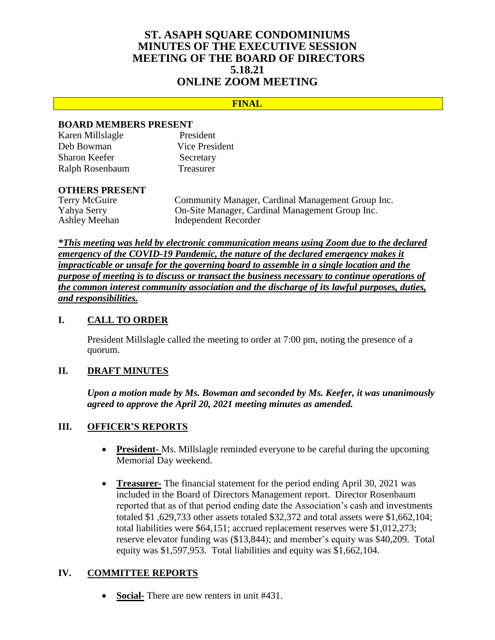# **ST. ASAPH SQUARE CONDOMINIUMS MINUTES OF THE EXECUTIVE SESSION MEETING OF THE BOARD OF DIRECTORS 5.18.21 ONLINE ZOOM MEETING**

#### **FINAL**

#### **BOARD MEMBERS PRESENT**

| Karen Millslagle     | President             |
|----------------------|-----------------------|
| Deb Bowman           | <b>Vice President</b> |
| <b>Sharon Keefer</b> | Secretary             |
| Ralph Rosenbaum      | Treasurer             |

# **OTHERS PRESENT**

Community Manager, Cardinal Management Group Inc. Yahya Serry On-Site Manager, Cardinal Management Group Inc. Ashley Meehan Independent Recorder

*\*This meeting was held by electronic communication means using Zoom due to the declared emergency of the COVID-19 Pandemic, the nature of the declared emergency makes it impracticable or unsafe for the governing board to assemble in a single location and the purpose of meeting is to discuss or transact the business necessary to continue operations of the common interest community association and the discharge of its lawful purposes, duties, and responsibilities.*

## **I. CALL TO ORDER**

President Millslagle called the meeting to order at 7:00 pm, noting the presence of a quorum.

### **II. DRAFT MINUTES**

*Upon a motion made by Ms. Bowman and seconded by Ms. Keefer, it was unanimously agreed to approve the April 20, 2021 meeting minutes as amended.*

#### **III. OFFICER'S REPORTS**

- **President-** Ms. Millslagle reminded everyone to be careful during the upcoming Memorial Day weekend.
- **Treasurer-** The financial statement for the period ending April 30, 2021 was included in the Board of Directors Management report. Director Rosenbaum reported that as of that period ending date the Association's cash and investments totaled \$1 ,629,733 other assets totaled \$32,372 and total assets were \$1,662,104; total liabilities were \$64,151; accrued replacement reserves were \$1,012,273; reserve elevator funding was (\$13,844); and member's equity was \$40,209. Total equity was \$1,597,953. Total liabilities and equity was \$1,662,104.

#### **IV. COMMITTEE REPORTS**

**Social-** There are new renters in unit #431.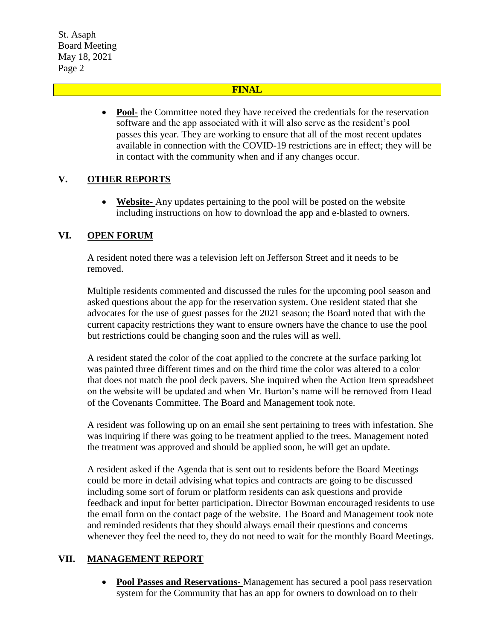St. Asaph Board Meeting May 18, 2021 Page 2

### **FINAL**

• Pool- the Committee noted they have received the credentials for the reservation software and the app associated with it will also serve as the resident's pool passes this year. They are working to ensure that all of the most recent updates available in connection with the COVID-19 restrictions are in effect; they will be in contact with the community when and if any changes occur.

## **V. OTHER REPORTS**

 **Website-** Any updates pertaining to the pool will be posted on the website including instructions on how to download the app and e-blasted to owners.

## **VI. OPEN FORUM**

A resident noted there was a television left on Jefferson Street and it needs to be removed.

Multiple residents commented and discussed the rules for the upcoming pool season and asked questions about the app for the reservation system. One resident stated that she advocates for the use of guest passes for the 2021 season; the Board noted that with the current capacity restrictions they want to ensure owners have the chance to use the pool but restrictions could be changing soon and the rules will as well.

A resident stated the color of the coat applied to the concrete at the surface parking lot was painted three different times and on the third time the color was altered to a color that does not match the pool deck pavers. She inquired when the Action Item spreadsheet on the website will be updated and when Mr. Burton's name will be removed from Head of the Covenants Committee. The Board and Management took note.

A resident was following up on an email she sent pertaining to trees with infestation. She was inquiring if there was going to be treatment applied to the trees. Management noted the treatment was approved and should be applied soon, he will get an update.

A resident asked if the Agenda that is sent out to residents before the Board Meetings could be more in detail advising what topics and contracts are going to be discussed including some sort of forum or platform residents can ask questions and provide feedback and input for better participation. Director Bowman encouraged residents to use the email form on the contact page of the website. The Board and Management took note and reminded residents that they should always email their questions and concerns whenever they feel the need to, they do not need to wait for the monthly Board Meetings.

## **VII. MANAGEMENT REPORT**

 **Pool Passes and Reservations-** Management has secured a pool pass reservation system for the Community that has an app for owners to download on to their